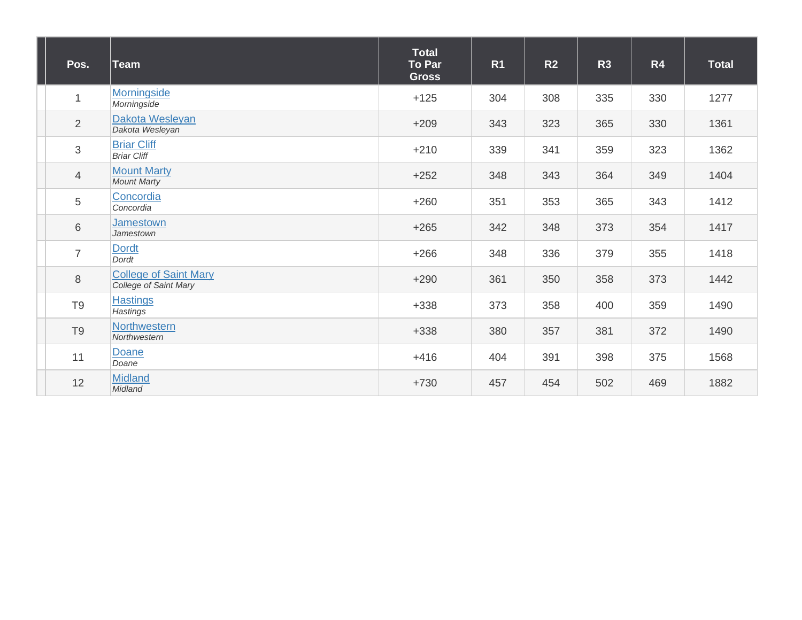| Pos.           | ∣Team                                                 | <b>Total</b><br>To Par<br><b>Gross</b> | R <sub>1</sub> | R2  | R3  | R4  | <b>Total</b> |
|----------------|-------------------------------------------------------|----------------------------------------|----------------|-----|-----|-----|--------------|
| $\mathbf{1}$   | Morningside<br>Morningside                            | $+125$                                 | 304            | 308 | 335 | 330 | 1277         |
| $\overline{2}$ | Dakota Wesleyan<br>Dakota Wesleyan                    | $+209$                                 | 343            | 323 | 365 | 330 | 1361         |
| 3              | <b>Briar Cliff</b><br><b>Briar Cliff</b>              | $+210$                                 | 339            | 341 | 359 | 323 | 1362         |
| $\overline{4}$ | <b>Mount Marty</b><br><b>Mount Marty</b>              | $+252$                                 | 348            | 343 | 364 | 349 | 1404         |
| 5              | Concordia<br>Concordia                                | $+260$                                 | 351            | 353 | 365 | 343 | 1412         |
| 6              | Jamestown<br>Jamestown                                | $+265$                                 | 342            | 348 | 373 | 354 | 1417         |
| $\overline{7}$ | <b>Dordt</b><br>Dordt                                 | $+266$                                 | 348            | 336 | 379 | 355 | 1418         |
| 8              | <b>College of Saint Mary</b><br>College of Saint Mary | $+290$                                 | 361            | 350 | 358 | 373 | 1442         |
| T <sub>9</sub> | <b>Hastings</b><br><b>Hastings</b>                    | $+338$                                 | 373            | 358 | 400 | 359 | 1490         |
| T <sub>9</sub> | Northwestern<br>Northwestern                          | $+338$                                 | 380            | 357 | 381 | 372 | 1490         |
| 11             | Doane<br>Doane                                        | $+416$                                 | 404            | 391 | 398 | 375 | 1568         |
| 12             | <b>Midland</b><br>Midland                             | $+730$                                 | 457            | 454 | 502 | 469 | 1882         |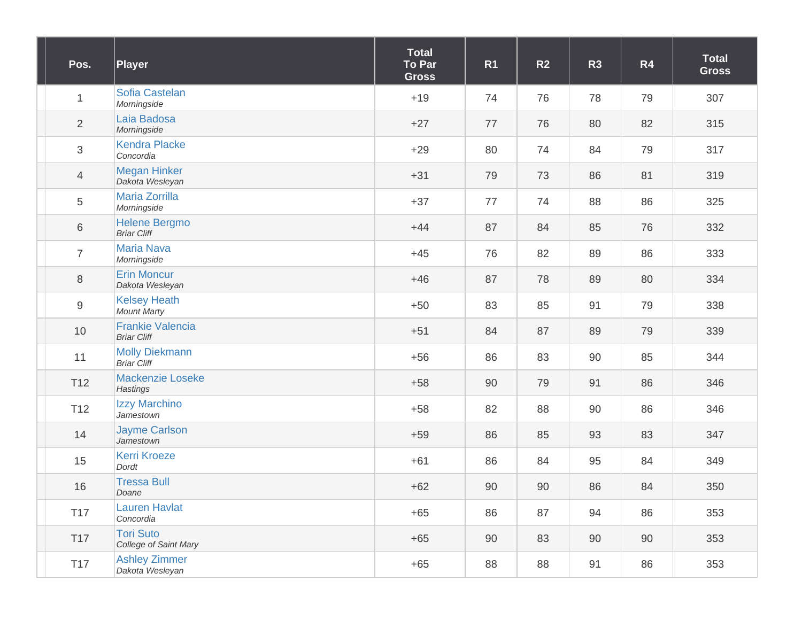| Pos.             | Player                                        | <b>Total</b><br>To Par<br><b>Gross</b> | R <sub>1</sub> | R <sub>2</sub> | R <sub>3</sub> | R4 | <b>Total</b><br><b>Gross</b> |
|------------------|-----------------------------------------------|----------------------------------------|----------------|----------------|----------------|----|------------------------------|
| $\mathbf{1}$     | Sofia Castelan<br>Morningside                 | $+19$                                  | 74             | 76             | 78             | 79 | 307                          |
| $\overline{2}$   | Laia Badosa<br>Morningside                    | $+27$                                  | 77             | 76             | 80             | 82 | 315                          |
| $\mathfrak{S}$   | <b>Kendra Placke</b><br>Concordia             | $+29$                                  | 80             | 74             | 84             | 79 | 317                          |
| $\overline{4}$   | <b>Megan Hinker</b><br>Dakota Wesleyan        | $+31$                                  | 79             | 73             | 86             | 81 | 319                          |
| 5                | Maria Zorrilla<br>Morningside                 | $+37$                                  | 77             | 74             | 88             | 86 | 325                          |
| 6                | <b>Helene Bergmo</b><br><b>Briar Cliff</b>    | $+44$                                  | 87             | 84             | 85             | 76 | 332                          |
| $\overline{7}$   | <b>Maria Nava</b><br>Morningside              | $+45$                                  | 76             | 82             | 89             | 86 | 333                          |
| $\,8\,$          | <b>Erin Moncur</b><br>Dakota Wesleyan         | $+46$                                  | 87             | 78             | 89             | 80 | 334                          |
| $\boldsymbol{9}$ | <b>Kelsey Heath</b><br><b>Mount Marty</b>     | $+50$                                  | 83             | 85             | 91             | 79 | 338                          |
| 10               | <b>Frankie Valencia</b><br><b>Briar Cliff</b> | $+51$                                  | 84             | 87             | 89             | 79 | 339                          |
| 11               | <b>Molly Diekmann</b><br><b>Briar Cliff</b>   | $+56$                                  | 86             | 83             | 90             | 85 | 344                          |
| T <sub>12</sub>  | Mackenzie Loseke<br><b>Hastings</b>           | $+58$                                  | 90             | 79             | 91             | 86 | 346                          |
| T <sub>12</sub>  | Izzy Marchino<br>Jamestown                    | $+58$                                  | 82             | 88             | 90             | 86 | 346                          |
| 14               | <b>Jayme Carlson</b><br>Jamestown             | $+59$                                  | 86             | 85             | 93             | 83 | 347                          |
| 15               | <b>Kerri Kroeze</b><br>Dordt                  | $+61$                                  | 86             | 84             | 95             | 84 | 349                          |
| $16$             | <b>Tressa Bull</b><br>Doane                   | $+62$                                  | 90             | $90\,$         | 86             | 84 | 350                          |
| <b>T17</b>       | <b>Lauren Havlat</b><br>Concordia             | $+65$                                  | 86             | 87             | 94             | 86 | 353                          |
| <b>T17</b>       | <b>Tori Suto</b><br>College of Saint Mary     | $+65$                                  | 90             | 83             | 90             | 90 | 353                          |
| T17              | <b>Ashley Zimmer</b><br>Dakota Wesleyan       | $+65$                                  | 88             | 88             | 91             | 86 | 353                          |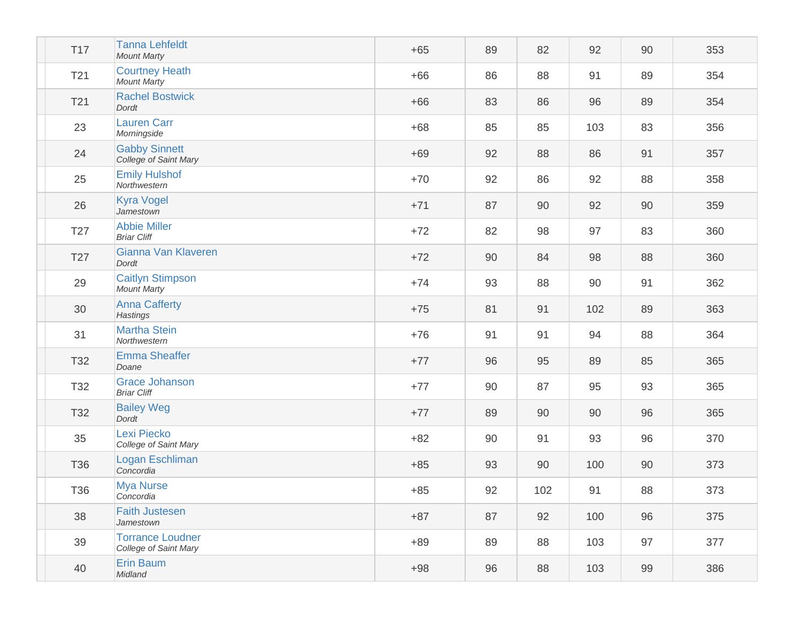| <b>T17</b>      | <b>Tanna Lehfeldt</b><br><b>Mount Marty</b>      | $+65$ | 89 | 82  | 92  | 90 | 353 |
|-----------------|--------------------------------------------------|-------|----|-----|-----|----|-----|
| T <sub>21</sub> | <b>Courtney Heath</b><br><b>Mount Marty</b>      | $+66$ | 86 | 88  | 91  | 89 | 354 |
| T <sub>21</sub> | <b>Rachel Bostwick</b><br>Dordt                  | $+66$ | 83 | 86  | 96  | 89 | 354 |
| 23              | <b>Lauren Carr</b><br>Morningside                | $+68$ | 85 | 85  | 103 | 83 | 356 |
| 24              | <b>Gabby Sinnett</b><br>College of Saint Mary    | $+69$ | 92 | 88  | 86  | 91 | 357 |
| 25              | <b>Emily Hulshof</b><br>Northwestern             | $+70$ | 92 | 86  | 92  | 88 | 358 |
| 26              | <b>Kyra Vogel</b><br>Jamestown                   | $+71$ | 87 | 90  | 92  | 90 | 359 |
| T <sub>27</sub> | <b>Abbie Miller</b><br><b>Briar Cliff</b>        | $+72$ | 82 | 98  | 97  | 83 | 360 |
| T27             | Gianna Van Klaveren<br>Dordt                     | $+72$ | 90 | 84  | 98  | 88 | 360 |
| 29              | <b>Caitlyn Stimpson</b><br><b>Mount Marty</b>    | $+74$ | 93 | 88  | 90  | 91 | 362 |
| 30              | <b>Anna Cafferty</b><br><b>Hastings</b>          | $+75$ | 81 | 91  | 102 | 89 | 363 |
| 31              | <b>Martha Stein</b><br>Northwestern              | $+76$ | 91 | 91  | 94  | 88 | 364 |
| T32             | <b>Emma Sheaffer</b><br>Doane                    | $+77$ | 96 | 95  | 89  | 85 | 365 |
| T32             | <b>Grace Johanson</b><br><b>Briar Cliff</b>      | $+77$ | 90 | 87  | 95  | 93 | 365 |
| T32             | <b>Bailey Weg</b><br>Dordt                       | $+77$ | 89 | 90  | 90  | 96 | 365 |
| 35              | Lexi Piecko<br>College of Saint Mary             | $+82$ | 90 | 91  | 93  | 96 | 370 |
| T36             | Logan Eschliman<br>Concordia                     | $+85$ | 93 | 90  | 100 | 90 | 373 |
| T36             | <b>Mya Nurse</b><br>Concordia                    | $+85$ | 92 | 102 | 91  | 88 | 373 |
| 38              | <b>Faith Justesen</b><br>Jamestown               | $+87$ | 87 | 92  | 100 | 96 | 375 |
| 39              | <b>Torrance Loudner</b><br>College of Saint Mary | $+89$ | 89 | 88  | 103 | 97 | 377 |
| 40              | Erin Baum<br>Midland                             | $+98$ | 96 | 88  | 103 | 99 | 386 |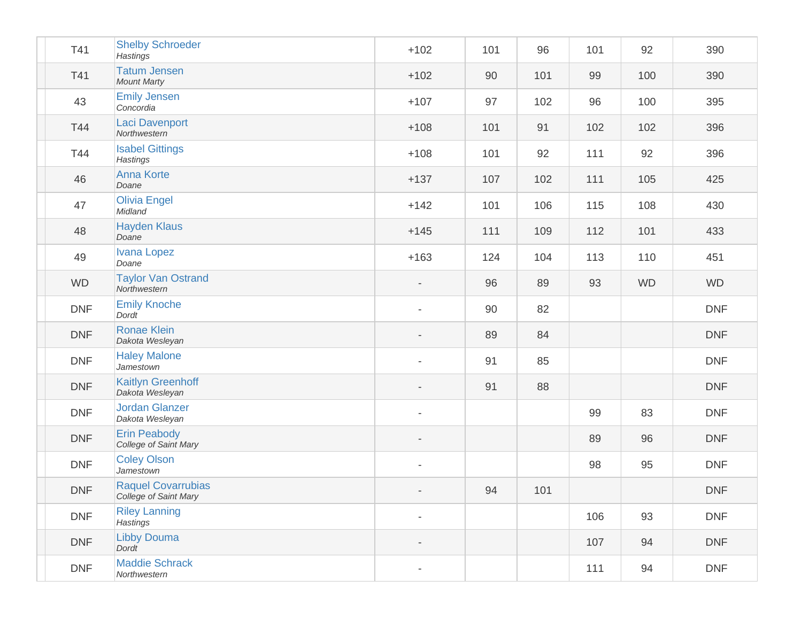| T41        | <b>Shelby Schroeder</b><br><b>Hastings</b>         | $+102$                   | 101 | 96  | 101 | 92        | 390        |
|------------|----------------------------------------------------|--------------------------|-----|-----|-----|-----------|------------|
| T41        | <b>Tatum Jensen</b><br><b>Mount Marty</b>          | $+102$                   | 90  | 101 | 99  | 100       | 390        |
| 43         | <b>Emily Jensen</b><br>Concordia                   | $+107$                   | 97  | 102 | 96  | 100       | 395        |
| T44        | <b>Laci Davenport</b><br>Northwestern              | $+108$                   | 101 | 91  | 102 | 102       | 396        |
| T44        | <b>Isabel Gittings</b><br>Hastings                 | $+108$                   | 101 | 92  | 111 | 92        | 396        |
| 46         | <b>Anna Korte</b><br>Doane                         | $+137$                   | 107 | 102 | 111 | 105       | 425        |
| 47         | <b>Olivia Engel</b><br>Midland                     | $+142$                   | 101 | 106 | 115 | 108       | 430        |
| 48         | <b>Hayden Klaus</b><br>Doane                       | $+145$                   | 111 | 109 | 112 | 101       | 433        |
| 49         | <b>Ivana Lopez</b><br>Doane                        | $+163$                   | 124 | 104 | 113 | 110       | 451        |
| <b>WD</b>  | <b>Taylor Van Ostrand</b><br>Northwestern          | $\overline{\phantom{a}}$ | 96  | 89  | 93  | <b>WD</b> | <b>WD</b>  |
| <b>DNF</b> | <b>Emily Knoche</b><br>Dordt                       |                          | 90  | 82  |     |           | <b>DNF</b> |
| <b>DNF</b> | <b>Ronae Klein</b><br>Dakota Wesleyan              |                          | 89  | 84  |     |           | <b>DNF</b> |
| <b>DNF</b> | <b>Haley Malone</b><br>Jamestown                   |                          | 91  | 85  |     |           | <b>DNF</b> |
| <b>DNF</b> | <b>Kaitlyn Greenhoff</b><br>Dakota Wesleyan        |                          | 91  | 88  |     |           | <b>DNF</b> |
| <b>DNF</b> | <b>Jordan Glanzer</b><br>Dakota Wesleyan           | $\overline{\phantom{a}}$ |     |     | 99  | 83        | <b>DNF</b> |
| <b>DNF</b> | <b>Erin Peabody</b><br>College of Saint Mary       | $\overline{\phantom{a}}$ |     |     | 89  | 96        | <b>DNF</b> |
| <b>DNF</b> | <b>Coley Olson</b><br>Jamestown                    |                          |     |     | 98  | 95        | <b>DNF</b> |
| <b>DNF</b> | <b>Raquel Covarrubias</b><br>College of Saint Mary |                          | 94  | 101 |     |           | <b>DNF</b> |
| <b>DNF</b> | <b>Riley Lanning</b><br>Hastings                   |                          |     |     | 106 | 93        | <b>DNF</b> |
| <b>DNF</b> | <b>Libby Douma</b><br>Dordt                        |                          |     |     | 107 | 94        | <b>DNF</b> |
| <b>DNF</b> | <b>Maddie Schrack</b><br>Northwestern              |                          |     |     | 111 | 94        | <b>DNF</b> |